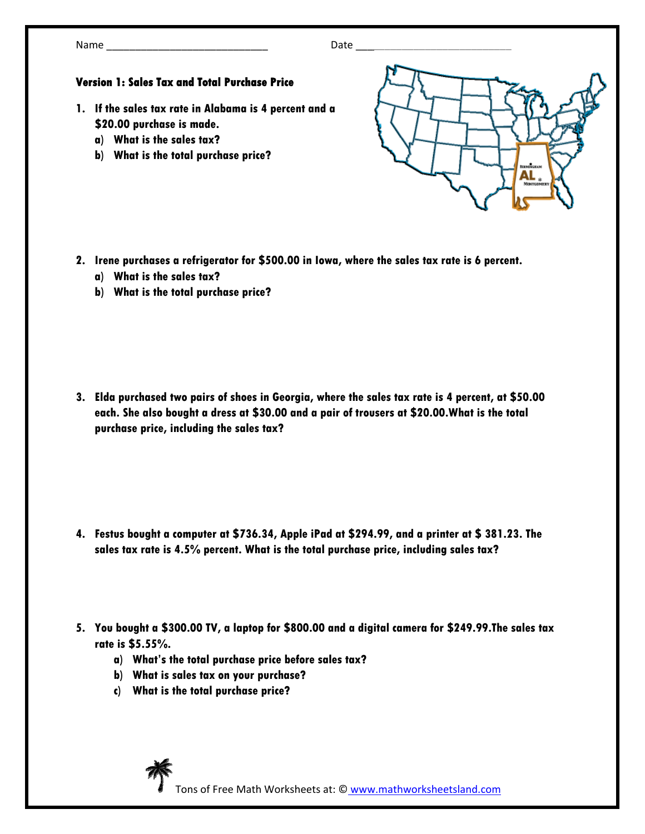## **Version 1: Sales Tax and Total Purchase Price**

- **1. If the sales tax rate in Alabama is 4 percent and a \$20.00 purchase is made.** 
	- **a) What is the sales tax?**
	- **b) What is the total purchase price?**



- **2. Irene purchases a refrigerator for \$500.00 in Iowa, where the sales tax rate is 6 percent.** 
	- **a) What is the sales tax?**
	- **b) What is the total purchase price?**

**3. Elda purchased two pairs of shoes in Georgia, where the sales tax rate is 4 percent, at \$50.00 each. She also bought a dress at \$30.00 and a pair of trousers at \$20.00.What is the total purchase price, including the sales tax?** 

- **4. Festus bought a computer at \$736.34, Apple iPad at \$294.99, and a printer at \$ 381.23. The sales tax rate is 4.5% percent. What is the total purchase price, including sales tax?**
- **5. You bought a \$300.00 TV, a laptop for \$800.00 and a digital camera for \$249.99.The sales tax rate is \$5.55%.** 
	- **a) What's the total purchase price before sales tax?**
	- **b) What is sales tax on your purchase?**
	- **c) What is the total purchase price?**